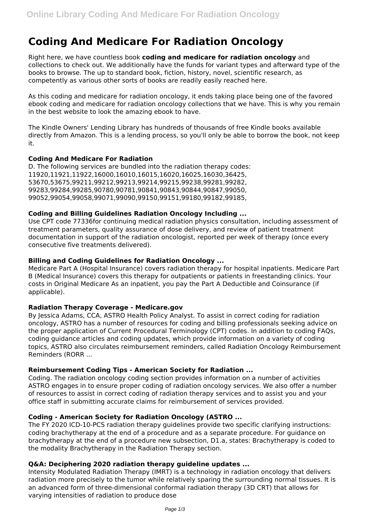# **Coding And Medicare For Radiation Oncology**

Right here, we have countless book **coding and medicare for radiation oncology** and collections to check out. We additionally have the funds for variant types and afterward type of the books to browse. The up to standard book, fiction, history, novel, scientific research, as competently as various other sorts of books are readily easily reached here.

As this coding and medicare for radiation oncology, it ends taking place being one of the favored ebook coding and medicare for radiation oncology collections that we have. This is why you remain in the best website to look the amazing ebook to have.

The Kindle Owners' Lending Library has hundreds of thousands of free Kindle books available directly from Amazon. This is a lending process, so you'll only be able to borrow the book, not keep it.

#### **Coding And Medicare For Radiation**

D. The following services are bundled into the radiation therapy codes: 11920,11921,11922,16000,16010,16015,16020,16025,16030,36425, 53670,53675,99211,99212,99213,99214,99215,99238,99281,99282, 99283,99284,99285,90780,90781,90841,90843,90844,90847,99050, 99052,99054,99058,99071,99090,99150,99151,99180,99182,99185,

## **Coding and Billing Guidelines Radiation Oncology Including ...**

Use CPT code 77336for continuing medical radiation physics consultation, including assessment of treatment parameters, quality assurance of dose delivery, and review of patient treatment documentation in support of the radiation oncologist, reported per week of therapy (once every consecutive five treatments delivered).

## **Billing and Coding Guidelines for Radiation Oncology ...**

Medicare Part A (Hospital Insurance) covers radiation therapy for hospital inpatients. Medicare Part B (Medical Insurance) covers this therapy for outpatients or patients in freestanding clinics. Your costs in Original Medicare As an inpatient, you pay the Part A Deductible and Coinsurance (if applicable).

#### **Radiation Therapy Coverage - Medicare.gov**

By Jessica Adams, CCA, ASTRO Health Policy Analyst. To assist in correct coding for radiation oncology, ASTRO has a number of resources for coding and billing professionals seeking advice on the proper application of Current Procedural Terminology (CPT) codes. In addition to coding FAQs, coding guidance articles and coding updates, which provide information on a variety of coding topics, ASTRO also circulates reimbursement reminders, called Radiation Oncology Reimbursement Reminders (RORR ...

#### **Reimbursement Coding Tips - American Society for Radiation ...**

Coding. The radiation oncology coding section provides information on a number of activities ASTRO engages in to ensure proper coding of radiation oncology services. We also offer a number of resources to assist in correct coding of radiation therapy services and to assist you and your office staff in submitting accurate claims for reimbursement of services provided.

#### **Coding - American Society for Radiation Oncology (ASTRO ...**

The FY 2020 ICD-10-PCS radiation therapy guidelines provide two specific clarifying instructions: coding brachytherapy at the end of a procedure and as a separate procedure. For guidance on brachytherapy at the end of a procedure new subsection, D1.a, states: Brachytherapy is coded to the modality Brachytherapy in the Radiation Therapy section.

#### **Q&A: Deciphering 2020 radiation therapy guideline updates ...**

Intensity Modulated Radiation Therapy (IMRT) is a technology in radiation oncology that delivers radiation more precisely to the tumor while relatively sparing the surrounding normal tissues. It is an advanced form of three-dimensional conformal radiation therapy (3D CRT) that allows for varying intensities of radiation to produce dose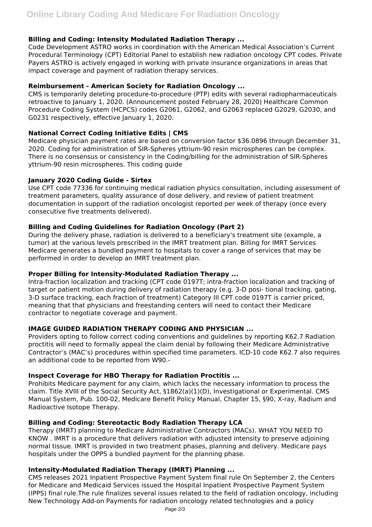## **Billing and Coding: Intensity Modulated Radiation Therapy ...**

Code Development ASTRO works in coordination with the American Medical Association's Current Procedural Terminology (CPT) Editorial Panel to establish new radiation oncology CPT codes. Private Payers ASTRO is actively engaged in working with private insurance organizations in areas that impact coverage and payment of radiation therapy services.

#### **Reimbursement - American Society for Radiation Oncology ...**

CMS is temporarily deleting procedure-to-procedure (PTP) edits with several radiopharmaceuticals retroactive to January 1, 2020. (Announcement posted February 28, 2020) Healthcare Common Procedure Coding System (HCPCS) codes G2061, G2062, and G2063 replaced G2029, G2030, and G0231 respectively, effective January 1, 2020.

#### **National Correct Coding Initiative Edits | CMS**

Medicare physician payment rates are based on conversion factor \$36.0896 through December 31, 2020. Coding for administration of SIR-Spheres yttrium-90 resin microspheres can be complex. There is no consensus or consistency in the Coding/billing for the administration of SIR-Spheres yttrium-90 resin microspheres. This coding guide

#### **January 2020 Coding Guide - Sirtex**

Use CPT code 77336 for continuing medical radiation physics consultation, including assessment of treatment parameters, quality assurance of dose delivery, and review of patient treatment documentation in support of the radiation oncologist reported per week of therapy (once every consecutive five treatments delivered).

#### **Billing and Coding Guidelines for Radiation Oncology (Part 2)**

During the delivery phase, radiation is delivered to a beneficiary's treatment site (example, a tumor) at the various levels prescribed in the IMRT treatment plan. Billing for IMRT Services Medicare generates a bundled payment to hospitals to cover a range of services that may be performed in order to develop an IMRT treatment plan.

#### **Proper Billing for Intensity-Modulated Radiation Therapy ...**

Intra-fraction localization and tracking (CPT code 0197T; intra-fraction localization and tracking of target or patient motion during delivery of radiation therapy (e.g. 3-D posi- tional tracking, gating, 3-D surface tracking, each fraction of treatment) Category III CPT code 0197T is carrier priced, meaning that that physicians and freestanding centers will need to contact their Medicare contractor to negotiate coverage and payment.

#### **IMAGE GUIDED RADIATION THERAPY CODING AND PHYSICIAN ...**

Providers opting to follow correct coding conventions and guidelines by reporting K62.7 Radiation proctitis will need to formally appeal the claim denial by following their Medicare Administrative Contractor's (MAC's) procedures within specified time parameters. ICD-10 code K62.7 also requires an additional code to be reported from W90.-

#### **Inspect Coverage for HBO Therapy for Radiation Proctitis ...**

Prohibits Medicare payment for any claim, which lacks the necessary information to process the claim. Title XVIII of the Social Security Act, §1862(a)(1)(D), Investigational or Experimental. CMS Manual System, Pub. 100-02, Medicare Benefit Policy Manual, Chapter 15, §90, X-ray, Radium and Radioactive Isotope Therapy.

#### **Billing and Coding: Stereotactic Body Radiation Therapy LCA**

Therapy (IMRT) planning to Medicare Administrative Contractors (MACs). WHAT YOU NEED TO KNOW . IMRT is a procedure that delivers radiation with adjusted intensity to preserve adjoining normal tissue. IMRT is provided in two treatment phases, planning and delivery. Medicare pays hospitals under the OPPS a bundled payment for the planning phase.

#### **Intensity-Modulated Radiation Therapy (IMRT) Planning ...**

CMS releases 2021 Inpatient Prospective Payment System final rule On September 2, the Centers for Medicare and Medicaid Services issued the Hospital Inpatient Prospective Payment System (IPPS) final rule.The rule finalizes several issues related to the field of radiation oncology, including New Technology Add-on Payments for radiation oncology related technologies and a policy